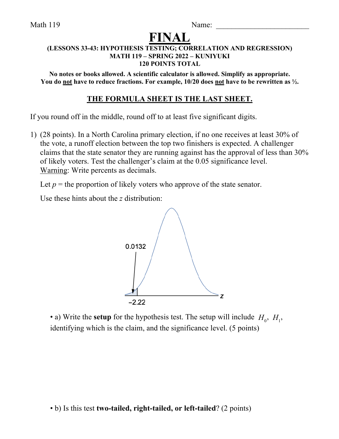Math 119 Name:

# **FINAL**

#### **(LESSONS 33-43: HYPOTHESIS TESTING; CORRELATION AND REGRESSION) MATH 119 – SPRING 2022 – KUNIYUKI 120 POINTS TOTAL**

**No notes or books allowed. A scientific calculator is allowed. Simplify as appropriate. You do not have to reduce fractions. For example, 10/20 does not have to be rewritten as ½.**

# **THE FORMULA SHEET IS THE LAST SHEET.**

If you round off in the middle, round off to at least five significant digits.

1) (28 points). In a North Carolina primary election, if no one receives at least 30% of the vote, a runoff election between the top two finishers is expected. A challenger claims that the state senator they are running against has the approval of less than 30% of likely voters. Test the challenger's claim at the 0.05 significance level. Warning: Write percents as decimals.

Let  $p =$  the proportion of likely voters who approve of the state senator.

Use these hints about the *z* distribution:



• a) Write the **setup** for the hypothesis test. The setup will include  $H_0$ ,  $H_1$ , identifying which is the claim, and the significance level. (5 points)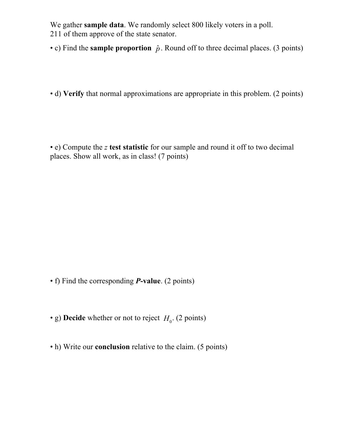We gather **sample data**. We randomly select 800 likely voters in a poll. 211 of them approve of the state senator.

- c) Find the **sample proportion**  $\hat{p}$ . Round off to three decimal places. (3 points)
- d) **Verify** that normal approximations are appropriate in this problem. (2 points)

• e) Compute the *z* **test statistic** for our sample and round it off to two decimal places. Show all work, as in class! (7 points)

- f) Find the corresponding *P***-value**. (2 points)
- g) **Decide** whether or not to reject  $H_0$ . (2 points)
- h) Write our **conclusion** relative to the claim. (5 points)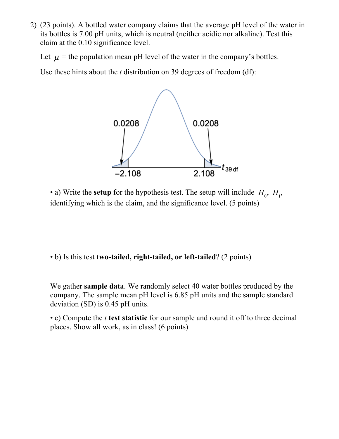2) (23 points). A bottled water company claims that the average pH level of the water in its bottles is 7.00 pH units, which is neutral (neither acidic nor alkaline). Test this claim at the 0.10 significance level.

Let  $\mu$  = the population mean pH level of the water in the company's bottles.

Use these hints about the *t* distribution on 39 degrees of freedom (df):



• a) Write the **setup** for the hypothesis test. The setup will include  $H_0$ ,  $H_1$ , identifying which is the claim, and the significance level. (5 points)

• b) Is this test **two-tailed, right-tailed, or left-tailed**? (2 points)

We gather **sample data**. We randomly select 40 water bottles produced by the company. The sample mean pH level is 6.85 pH units and the sample standard deviation (SD) is 0.45 pH units.

• c) Compute the *t* **test statistic** for our sample and round it off to three decimal places. Show all work, as in class! (6 points)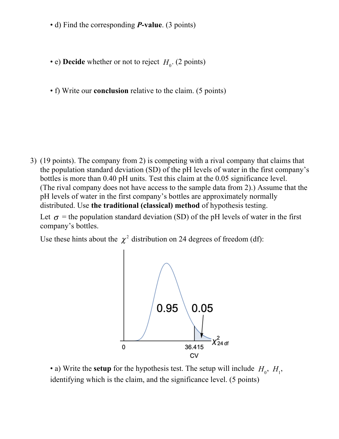- d) Find the corresponding *P***-value**. (3 points)
- e) **Decide** whether or not to reject  $H_0$ . (2 points)
- f) Write our **conclusion** relative to the claim. (5 points)

3) (19 points). The company from 2) is competing with a rival company that claims that the population standard deviation (SD) of the pH levels of water in the first company's bottles is more than 0.40 pH units. Test this claim at the 0.05 significance level. (The rival company does not have access to the sample data from 2).) Assume that the pH levels of water in the first company's bottles are approximately normally distributed. Use **the traditional (classical) method** of hypothesis testing.

Let  $\sigma$  = the population standard deviation (SD) of the pH levels of water in the first company's bottles.

Use these hints about the  $\chi^2$  distribution on 24 degrees of freedom (df):



• a) Write the **setup** for the hypothesis test. The setup will include  $H_0$ ,  $H_1$ , identifying which is the claim, and the significance level. (5 points)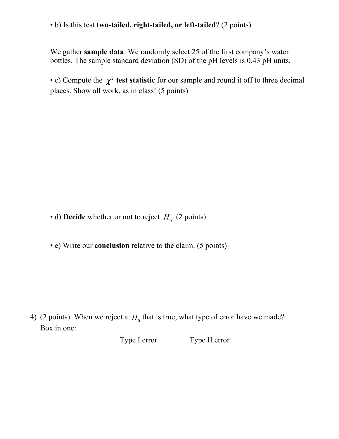• b) Is this test **two-tailed, right-tailed, or left-tailed**? (2 points)

We gather **sample data**. We randomly select 25 of the first company's water bottles. The sample standard deviation (SD) of the pH levels is 0.43 pH units.

• c) Compute the  $\chi^2$  test statistic for our sample and round it off to three decimal places. Show all work, as in class! (5 points)

• d) **Decide** whether or not to reject  $H_0$ . (2 points)

• e) Write our **conclusion** relative to the claim. (5 points)

4) (2 points). When we reject a  $H_0$  that is true, what type of error have we made? Box in one:

Type I error Type II error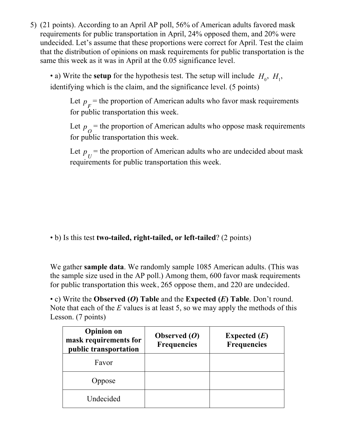5) (21 points). According to an April AP poll, 56% of American adults favored mask requirements for public transportation in April, 24% opposed them, and 20% were undecided. Let's assume that these proportions were correct for April. Test the claim that the distribution of opinions on mask requirements for public transportation is the same this week as it was in April at the 0.05 significance level.

• a) Write the **setup** for the hypothesis test. The setup will include  $H_0$ ,  $H_1$ , identifying which is the claim, and the significance level. (5 points)

Let  $p_F$  = the proportion of American adults who favor mask requirements for public transportation this week.

Let  $p_{\alpha}$  = the proportion of American adults who oppose mask requirements for public transportation this week.

Let  $p_{\overline{I}}$  = the proportion of American adults who are undecided about mask requirements for public transportation this week.

• b) Is this test **two-tailed, right-tailed, or left-tailed**? (2 points)

We gather **sample data**. We randomly sample 1085 American adults. (This was the sample size used in the AP poll.) Among them, 600 favor mask requirements for public transportation this week, 265 oppose them, and 220 are undecided.

• c) Write the **Observed (***O***) Table** and the **Expected (***E***) Table**. Don't round. Note that each of the *E* values is at least 5, so we may apply the methods of this Lesson. (7 points)

| <b>Opinion</b> on<br>mask requirements for<br>public transportation | Observed $(O)$<br><b>Frequencies</b> | Expected $(E)$<br><b>Frequencies</b> |
|---------------------------------------------------------------------|--------------------------------------|--------------------------------------|
| Favor                                                               |                                      |                                      |
| Oppose                                                              |                                      |                                      |
| Undecided                                                           |                                      |                                      |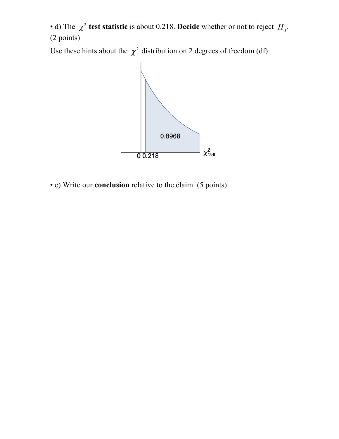• d) The  $\chi^2$  **test statistic** is about 0.218. **Decide** whether or not to reject  $H_0$ . (2 points)

Use these hints about the  $\chi^2$  distribution on 2 degrees of freedom (df):



• e) Write our **conclusion** relative to the claim. (5 points)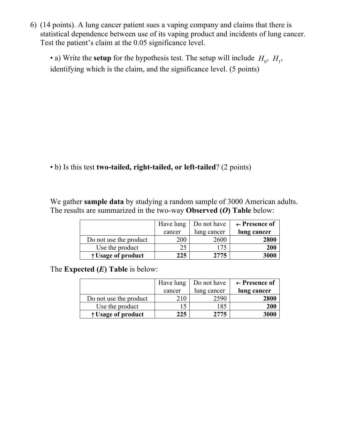6) (14 points). A lung cancer patient sues a vaping company and claims that there is statistical dependence between use of its vaping product and incidents of lung cancer. Test the patient's claim at the 0.05 significance level.

• a) Write the **setup** for the hypothesis test. The setup will include  $H_0$ ,  $H_1$ , identifying which is the claim, and the significance level. (5 points)

• b) Is this test **two-tailed, right-tailed, or left-tailed**? (2 points)

We gather **sample data** by studying a random sample of 3000 American adults. The results are summarized in the two-way **Observed (***O***) Table** below:

|                        | Have lung | Do not have | $\leftarrow$ Presence of |
|------------------------|-----------|-------------|--------------------------|
|                        | cancer    | lung cancer | lung cancer              |
| Do not use the product | 200       | 2600        | 2800                     |
| Use the product        | 25        | 175         | 200                      |
| ↑ Usage of product     | 225       | 2775        | 3000                     |

The **Expected (***E***) Table** is below:

|                        | Have lung | Do not have | $\leftarrow$ Presence of |
|------------------------|-----------|-------------|--------------------------|
|                        | cancer    | lung cancer | lung cancer              |
| Do not use the product | 210       | 2590        | 2800                     |
| Use the product        |           | 185         | 200                      |
| ↑ Usage of product     | 225       | 2775        | 3000                     |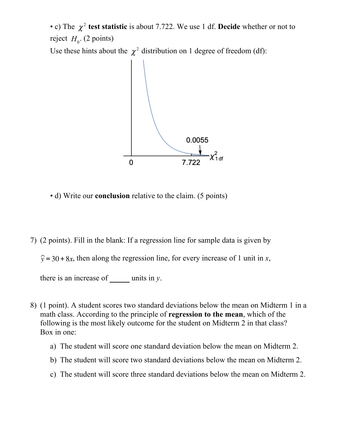• c) The  $\chi^2$  test statistic is about 7.722. We use 1 df. Decide whether or not to reject  $H_0$ . (2 points)

Use these hints about the  $\chi^2$  distribution on 1 degree of freedom (df):



• d) Write our **conclusion** relative to the claim. (5 points)

7) (2 points). Fill in the blank: If a regression line for sample data is given by

 $\hat{y} = 30 + 8x$ , then along the regression line, for every increase of 1 unit in *x*,

there is an increase of **\_\_\_\_** units in *y*.

- 8) (1 point). A student scores two standard deviations below the mean on Midterm 1 in a math class. According to the principle of **regression to the mean**, which of the following is the most likely outcome for the student on Midterm 2 in that class? Box in one:
	- a) The student will score one standard deviation below the mean on Midterm 2.
	- b) The student will score two standard deviations below the mean on Midterm 2.
	- c) The student will score three standard deviations below the mean on Midterm 2.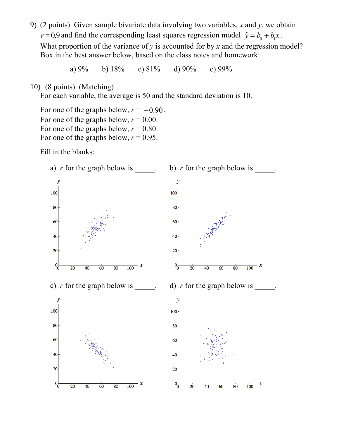9) (2 points). Given sample bivariate data involving two variables, *x* and *y*, we obtain and find the corresponding least squares regression model  $\hat{y} = b_0 + b_1 x$ . What proportion of the variance of  $y$  is accounted for by  $x$  and the regression model? Box in the best answer below, based on the class notes and homework:

a) 9% b) 18% c) 81% d) 90% e) 99%

10) (8 points). (Matching)

For each variable, the average is 50 and the standard deviation is 10.

For one of the graphs below,  $r = -0.90$ . For one of the graphs below,  $r = 0.00$ . For one of the graphs below,  $r = 0.80$ . For one of the graphs below,  $r = 0.95$ .

Fill in the blanks:

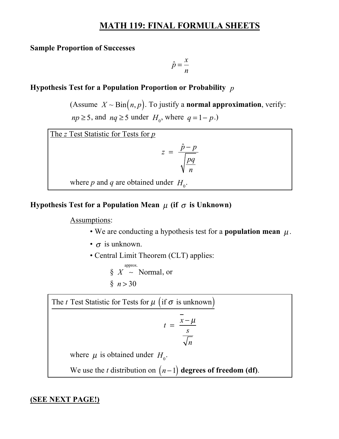# **MATH 119: FINAL FORMULA SHEETS**

#### **Sample Proportion of Successes**

$$
\hat{p} = \frac{x}{n}
$$

### **Hypothesis Test for a Population Proportion or Probability**  *p*

(Assume  $X \sim \text{Bin}(n, p)$ . To justify a **normal approximation**, verify:  $np \ge 5$ , and  $nq \ge 5$  under  $H_0$ , where  $q = 1 - p$ .)

The *z* Test Statistic for Tests for *p*

$$
z = \frac{\hat{p} - p}{\sqrt{\frac{pq}{n}}}
$$

where *p* and *q* are obtained under  $H_0$ .

## **Hypothesis Test for a Population Mean**  $\,\mu$  **(if**  $\,\sigma$  **is Unknown)**

#### Assumptions:

- We are conducting a hypothesis test for a **population mean**  $\mu$ .
- $\bullet$   $\sigma$  is unknown.
- Central Limit Theorem (CLT) applies:

$$
\S X \sim \text{Normal, or}
$$
  
 
$$
\S n > 30
$$

The *t* Test Statistic for Tests for  $\mu$  (if  $\sigma$  is unknown)

$$
t = \frac{\bar{x} - \mu}{\frac{s}{\sqrt{n}}}
$$

where  $\mu$  is obtained under  $H_0$ .

We use the *t* distribution on  $(n-1)$  degrees of freedom (df).

#### **(SEE NEXT PAGE!)**